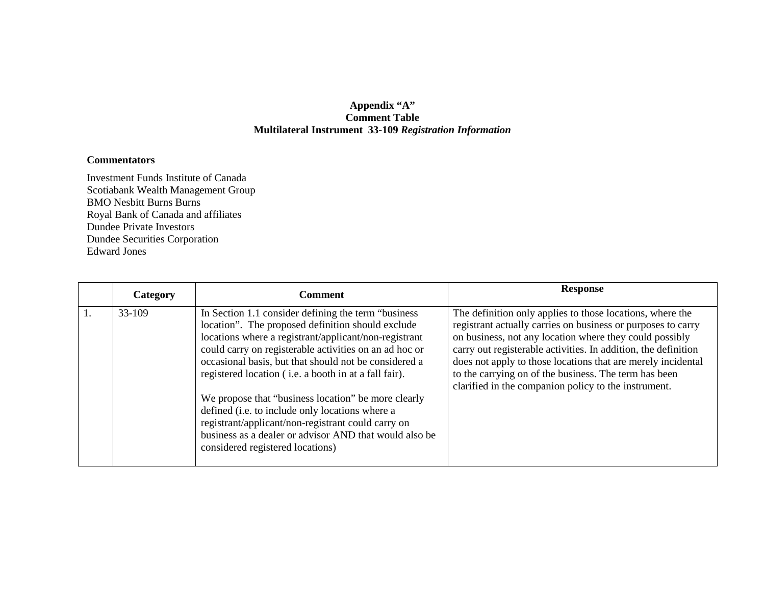## **Appendix "A" Comment Table Multilateral Instrument 33-109** *Registration Information*

## **Commentators**

Investment Funds Institute of Canada Scotiabank Wealth Management Group BMO Nesbitt Burns Burns Royal Bank of Canada and affiliates Dundee Private Investors Dundee Securities Corporation Edward Jones

| Category | <b>Comment</b>                                                                                                                                                                                                                                                                                                                                                                                                                                                                                                                                                                                               | <b>Response</b>                                                                                                                                                                                                                                                                                                                                                                                                                         |
|----------|--------------------------------------------------------------------------------------------------------------------------------------------------------------------------------------------------------------------------------------------------------------------------------------------------------------------------------------------------------------------------------------------------------------------------------------------------------------------------------------------------------------------------------------------------------------------------------------------------------------|-----------------------------------------------------------------------------------------------------------------------------------------------------------------------------------------------------------------------------------------------------------------------------------------------------------------------------------------------------------------------------------------------------------------------------------------|
| 33-109   | In Section 1.1 consider defining the term "business"<br>location". The proposed definition should exclude<br>locations where a registrant/applicant/non-registrant<br>could carry on registerable activities on an ad hoc or<br>occasional basis, but that should not be considered a<br>registered location (i.e. a booth in at a fall fair).<br>We propose that "business location" be more clearly<br>defined (i.e. to include only locations where a<br>registrant/applicant/non-registrant could carry on<br>business as a dealer or advisor AND that would also be<br>considered registered locations) | The definition only applies to those locations, where the<br>registrant actually carries on business or purposes to carry<br>on business, not any location where they could possibly<br>carry out registerable activities. In addition, the definition<br>does not apply to those locations that are merely incidental<br>to the carrying on of the business. The term has been<br>clarified in the companion policy to the instrument. |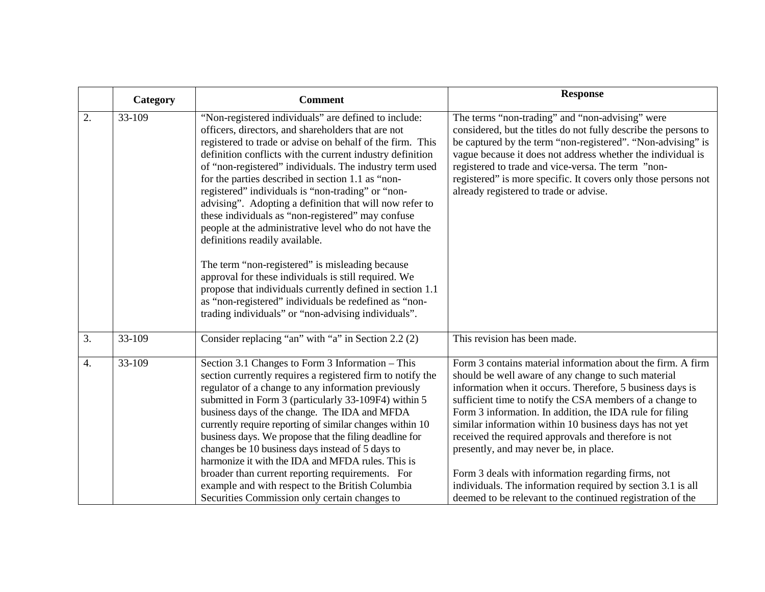|                  | Category | <b>Comment</b>                                                                                                                                                                                                                                                                                                                                                                                                                                                                                                                                                                                                                                                         | <b>Response</b>                                                                                                                                                                                                                                                                                                                                                                                                                                                                                                                                                                                                                                         |
|------------------|----------|------------------------------------------------------------------------------------------------------------------------------------------------------------------------------------------------------------------------------------------------------------------------------------------------------------------------------------------------------------------------------------------------------------------------------------------------------------------------------------------------------------------------------------------------------------------------------------------------------------------------------------------------------------------------|---------------------------------------------------------------------------------------------------------------------------------------------------------------------------------------------------------------------------------------------------------------------------------------------------------------------------------------------------------------------------------------------------------------------------------------------------------------------------------------------------------------------------------------------------------------------------------------------------------------------------------------------------------|
| 2.               | 33-109   | "Non-registered individuals" are defined to include:<br>officers, directors, and shareholders that are not<br>registered to trade or advise on behalf of the firm. This<br>definition conflicts with the current industry definition<br>of "non-registered" individuals. The industry term used<br>for the parties described in section 1.1 as "non-<br>registered" individuals is "non-trading" or "non-<br>advising". Adopting a definition that will now refer to<br>these individuals as "non-registered" may confuse<br>people at the administrative level who do not have the<br>definitions readily available.                                                  | The terms "non-trading" and "non-advising" were<br>considered, but the titles do not fully describe the persons to<br>be captured by the term "non-registered". "Non-advising" is<br>vague because it does not address whether the individual is<br>registered to trade and vice-versa. The term "non-<br>registered" is more specific. It covers only those persons not<br>already registered to trade or advise.                                                                                                                                                                                                                                      |
|                  |          | The term "non-registered" is misleading because<br>approval for these individuals is still required. We<br>propose that individuals currently defined in section 1.1<br>as "non-registered" individuals be redefined as "non-<br>trading individuals" or "non-advising individuals".                                                                                                                                                                                                                                                                                                                                                                                   |                                                                                                                                                                                                                                                                                                                                                                                                                                                                                                                                                                                                                                                         |
| 3.               | 33-109   | Consider replacing "an" with "a" in Section 2.2 (2)                                                                                                                                                                                                                                                                                                                                                                                                                                                                                                                                                                                                                    | This revision has been made.                                                                                                                                                                                                                                                                                                                                                                                                                                                                                                                                                                                                                            |
| $\overline{4}$ . | 33-109   | Section 3.1 Changes to Form 3 Information - This<br>section currently requires a registered firm to notify the<br>regulator of a change to any information previously<br>submitted in Form 3 (particularly 33-109F4) within 5<br>business days of the change. The IDA and MFDA<br>currently require reporting of similar changes within 10<br>business days. We propose that the filing deadline for<br>changes be 10 business days instead of 5 days to<br>harmonize it with the IDA and MFDA rules. This is<br>broader than current reporting requirements. For<br>example and with respect to the British Columbia<br>Securities Commission only certain changes to | Form 3 contains material information about the firm. A firm<br>should be well aware of any change to such material<br>information when it occurs. Therefore, 5 business days is<br>sufficient time to notify the CSA members of a change to<br>Form 3 information. In addition, the IDA rule for filing<br>similar information within 10 business days has not yet<br>received the required approvals and therefore is not<br>presently, and may never be, in place.<br>Form 3 deals with information regarding firms, not<br>individuals. The information required by section 3.1 is all<br>deemed to be relevant to the continued registration of the |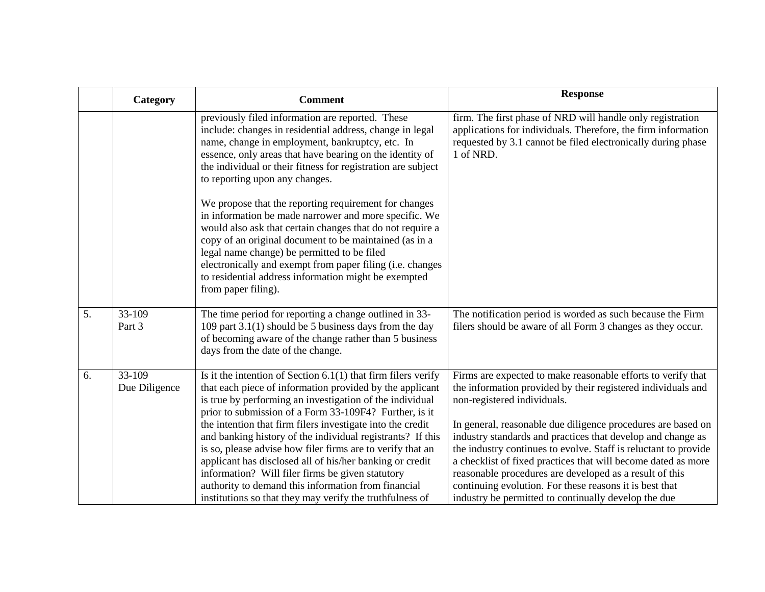|    | Category                | <b>Comment</b>                                                                                                                                                                                                                                                                                                                                                                                                                                                                                                                                                                                                     | <b>Response</b>                                                                                                                                                                                                                                                                                                                                                                                                                                                                                                                                      |
|----|-------------------------|--------------------------------------------------------------------------------------------------------------------------------------------------------------------------------------------------------------------------------------------------------------------------------------------------------------------------------------------------------------------------------------------------------------------------------------------------------------------------------------------------------------------------------------------------------------------------------------------------------------------|------------------------------------------------------------------------------------------------------------------------------------------------------------------------------------------------------------------------------------------------------------------------------------------------------------------------------------------------------------------------------------------------------------------------------------------------------------------------------------------------------------------------------------------------------|
|    |                         | previously filed information are reported. These<br>include: changes in residential address, change in legal<br>name, change in employment, bankruptcy, etc. In<br>essence, only areas that have bearing on the identity of<br>the individual or their fitness for registration are subject<br>to reporting upon any changes.                                                                                                                                                                                                                                                                                      | firm. The first phase of NRD will handle only registration<br>applications for individuals. Therefore, the firm information<br>requested by 3.1 cannot be filed electronically during phase<br>1 of NRD.                                                                                                                                                                                                                                                                                                                                             |
|    |                         | We propose that the reporting requirement for changes<br>in information be made narrower and more specific. We<br>would also ask that certain changes that do not require a<br>copy of an original document to be maintained (as in a<br>legal name change) be permitted to be filed<br>electronically and exempt from paper filing (i.e. changes<br>to residential address information might be exempted<br>from paper filing).                                                                                                                                                                                   |                                                                                                                                                                                                                                                                                                                                                                                                                                                                                                                                                      |
| 5. | 33-109<br>Part 3        | The time period for reporting a change outlined in 33-<br>109 part $3.1(1)$ should be 5 business days from the day<br>of becoming aware of the change rather than 5 business<br>days from the date of the change.                                                                                                                                                                                                                                                                                                                                                                                                  | The notification period is worded as such because the Firm<br>filers should be aware of all Form 3 changes as they occur.                                                                                                                                                                                                                                                                                                                                                                                                                            |
| 6. | 33-109<br>Due Diligence | Is it the intention of Section $6.1(1)$ that firm filers verify<br>that each piece of information provided by the applicant<br>is true by performing an investigation of the individual<br>prior to submission of a Form 33-109F4? Further, is it<br>the intention that firm filers investigate into the credit<br>and banking history of the individual registrants? If this<br>is so, please advise how filer firms are to verify that an<br>applicant has disclosed all of his/her banking or credit<br>information? Will filer firms be given statutory<br>authority to demand this information from financial | Firms are expected to make reasonable efforts to verify that<br>the information provided by their registered individuals and<br>non-registered individuals.<br>In general, reasonable due diligence procedures are based on<br>industry standards and practices that develop and change as<br>the industry continues to evolve. Staff is reluctant to provide<br>a checklist of fixed practices that will become dated as more<br>reasonable procedures are developed as a result of this<br>continuing evolution. For these reasons it is best that |
|    |                         | institutions so that they may verify the truthfulness of                                                                                                                                                                                                                                                                                                                                                                                                                                                                                                                                                           | industry be permitted to continually develop the due                                                                                                                                                                                                                                                                                                                                                                                                                                                                                                 |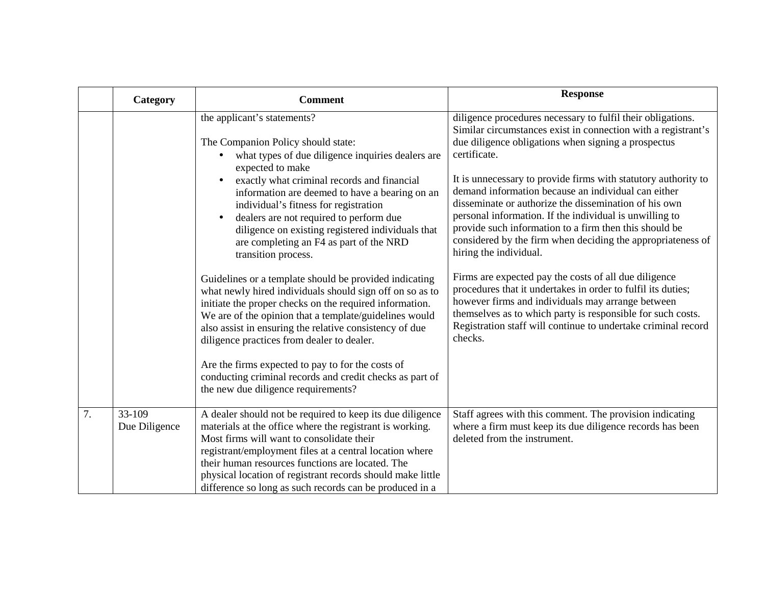|    | Category                | <b>Comment</b>                                                                                                                                                                                                                                                                                                                                                                                                                                                                                                                                                                                                                                                                                                                                                                                                                                                                                                                                                                  | <b>Response</b>                                                                                                                                                                                                                                                                                                                                                                                                                                                                                                                                                                                                                                                                                                                                                                                                                                                                                                              |
|----|-------------------------|---------------------------------------------------------------------------------------------------------------------------------------------------------------------------------------------------------------------------------------------------------------------------------------------------------------------------------------------------------------------------------------------------------------------------------------------------------------------------------------------------------------------------------------------------------------------------------------------------------------------------------------------------------------------------------------------------------------------------------------------------------------------------------------------------------------------------------------------------------------------------------------------------------------------------------------------------------------------------------|------------------------------------------------------------------------------------------------------------------------------------------------------------------------------------------------------------------------------------------------------------------------------------------------------------------------------------------------------------------------------------------------------------------------------------------------------------------------------------------------------------------------------------------------------------------------------------------------------------------------------------------------------------------------------------------------------------------------------------------------------------------------------------------------------------------------------------------------------------------------------------------------------------------------------|
|    |                         | the applicant's statements?<br>The Companion Policy should state:<br>what types of due diligence inquiries dealers are<br>expected to make<br>exactly what criminal records and financial<br>information are deemed to have a bearing on an<br>individual's fitness for registration<br>dealers are not required to perform due<br>$\bullet$<br>diligence on existing registered individuals that<br>are completing an F4 as part of the NRD<br>transition process.<br>Guidelines or a template should be provided indicating<br>what newly hired individuals should sign off on so as to<br>initiate the proper checks on the required information.<br>We are of the opinion that a template/guidelines would<br>also assist in ensuring the relative consistency of due<br>diligence practices from dealer to dealer.<br>Are the firms expected to pay to for the costs of<br>conducting criminal records and credit checks as part of<br>the new due diligence requirements? | diligence procedures necessary to fulfil their obligations.<br>Similar circumstances exist in connection with a registrant's<br>due diligence obligations when signing a prospectus<br>certificate.<br>It is unnecessary to provide firms with statutory authority to<br>demand information because an individual can either<br>disseminate or authorize the dissemination of his own<br>personal information. If the individual is unwilling to<br>provide such information to a firm then this should be<br>considered by the firm when deciding the appropriateness of<br>hiring the individual.<br>Firms are expected pay the costs of all due diligence<br>procedures that it undertakes in order to fulfil its duties;<br>however firms and individuals may arrange between<br>themselves as to which party is responsible for such costs.<br>Registration staff will continue to undertake criminal record<br>checks. |
| 7. | 33-109<br>Due Diligence | A dealer should not be required to keep its due diligence<br>materials at the office where the registrant is working.<br>Most firms will want to consolidate their<br>registrant/employment files at a central location where<br>their human resources functions are located. The<br>physical location of registrant records should make little<br>difference so long as such records can be produced in a                                                                                                                                                                                                                                                                                                                                                                                                                                                                                                                                                                      | Staff agrees with this comment. The provision indicating<br>where a firm must keep its due diligence records has been<br>deleted from the instrument.                                                                                                                                                                                                                                                                                                                                                                                                                                                                                                                                                                                                                                                                                                                                                                        |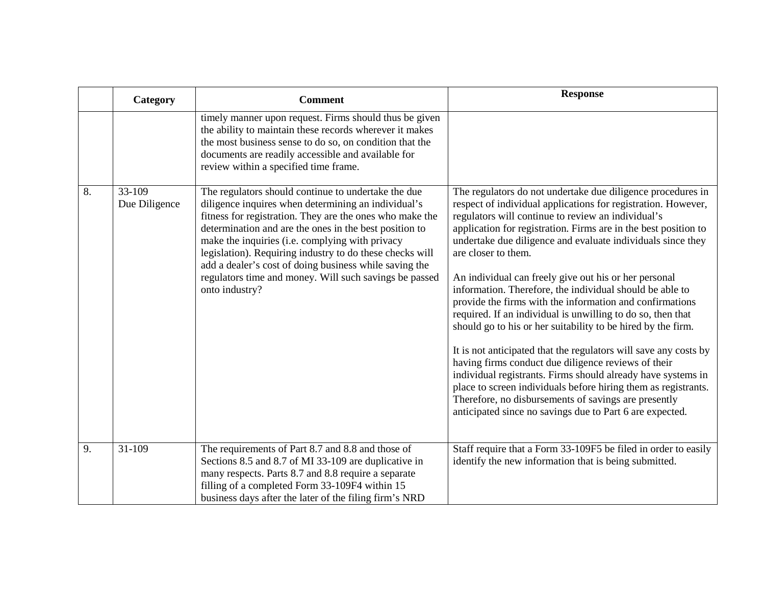|    | Category                | <b>Comment</b>                                                                                                                                                                                                                                                                                                                                                                                                                                                                        | <b>Response</b>                                                                                                                                                                                                                                                                                                                                                                                                                                                                                                                                                                                                                                                                                                                                                                                                                                                                                                                                                                                                                              |
|----|-------------------------|---------------------------------------------------------------------------------------------------------------------------------------------------------------------------------------------------------------------------------------------------------------------------------------------------------------------------------------------------------------------------------------------------------------------------------------------------------------------------------------|----------------------------------------------------------------------------------------------------------------------------------------------------------------------------------------------------------------------------------------------------------------------------------------------------------------------------------------------------------------------------------------------------------------------------------------------------------------------------------------------------------------------------------------------------------------------------------------------------------------------------------------------------------------------------------------------------------------------------------------------------------------------------------------------------------------------------------------------------------------------------------------------------------------------------------------------------------------------------------------------------------------------------------------------|
|    |                         | timely manner upon request. Firms should thus be given<br>the ability to maintain these records wherever it makes<br>the most business sense to do so, on condition that the<br>documents are readily accessible and available for<br>review within a specified time frame.                                                                                                                                                                                                           |                                                                                                                                                                                                                                                                                                                                                                                                                                                                                                                                                                                                                                                                                                                                                                                                                                                                                                                                                                                                                                              |
| 8. | 33-109<br>Due Diligence | The regulators should continue to undertake the due<br>diligence inquires when determining an individual's<br>fitness for registration. They are the ones who make the<br>determination and are the ones in the best position to<br>make the inquiries (i.e. complying with privacy<br>legislation). Requiring industry to do these checks will<br>add a dealer's cost of doing business while saving the<br>regulators time and money. Will such savings be passed<br>onto industry? | The regulators do not undertake due diligence procedures in<br>respect of individual applications for registration. However,<br>regulators will continue to review an individual's<br>application for registration. Firms are in the best position to<br>undertake due diligence and evaluate individuals since they<br>are closer to them.<br>An individual can freely give out his or her personal<br>information. Therefore, the individual should be able to<br>provide the firms with the information and confirmations<br>required. If an individual is unwilling to do so, then that<br>should go to his or her suitability to be hired by the firm.<br>It is not anticipated that the regulators will save any costs by<br>having firms conduct due diligence reviews of their<br>individual registrants. Firms should already have systems in<br>place to screen individuals before hiring them as registrants.<br>Therefore, no disbursements of savings are presently<br>anticipated since no savings due to Part 6 are expected. |
| 9. | 31-109                  | The requirements of Part 8.7 and 8.8 and those of<br>Sections 8.5 and 8.7 of MI 33-109 are duplicative in<br>many respects. Parts 8.7 and 8.8 require a separate<br>filling of a completed Form 33-109F4 within 15<br>business days after the later of the filing firm's NRD                                                                                                                                                                                                          | Staff require that a Form 33-109F5 be filed in order to easily<br>identify the new information that is being submitted.                                                                                                                                                                                                                                                                                                                                                                                                                                                                                                                                                                                                                                                                                                                                                                                                                                                                                                                      |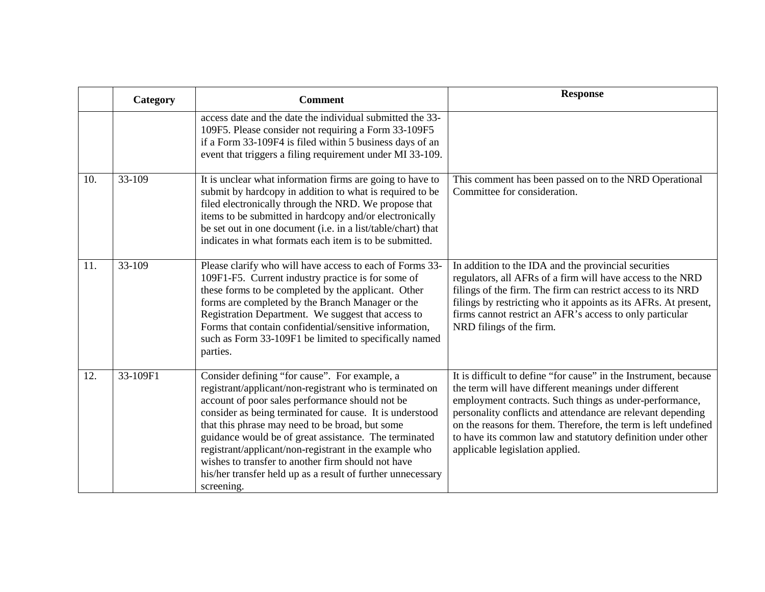|     | Category | <b>Comment</b>                                                                                                                                                                                                                                                                                                                                                                                                                                                                                                                    | <b>Response</b>                                                                                                                                                                                                                                                                                                                                                                                                         |
|-----|----------|-----------------------------------------------------------------------------------------------------------------------------------------------------------------------------------------------------------------------------------------------------------------------------------------------------------------------------------------------------------------------------------------------------------------------------------------------------------------------------------------------------------------------------------|-------------------------------------------------------------------------------------------------------------------------------------------------------------------------------------------------------------------------------------------------------------------------------------------------------------------------------------------------------------------------------------------------------------------------|
|     |          | access date and the date the individual submitted the 33-<br>109F5. Please consider not requiring a Form 33-109F5<br>if a Form 33-109F4 is filed within 5 business days of an<br>event that triggers a filing requirement under MI 33-109.                                                                                                                                                                                                                                                                                        |                                                                                                                                                                                                                                                                                                                                                                                                                         |
| 10. | 33-109   | It is unclear what information firms are going to have to<br>submit by hardcopy in addition to what is required to be<br>filed electronically through the NRD. We propose that<br>items to be submitted in hardcopy and/or electronically<br>be set out in one document (i.e. in a list/table/chart) that<br>indicates in what formats each item is to be submitted.                                                                                                                                                              | This comment has been passed on to the NRD Operational<br>Committee for consideration.                                                                                                                                                                                                                                                                                                                                  |
| 11. | 33-109   | Please clarify who will have access to each of Forms 33-<br>109F1-F5. Current industry practice is for some of<br>these forms to be completed by the applicant. Other<br>forms are completed by the Branch Manager or the<br>Registration Department. We suggest that access to<br>Forms that contain confidential/sensitive information,<br>such as Form 33-109F1 be limited to specifically named<br>parties.                                                                                                                   | In addition to the IDA and the provincial securities<br>regulators, all AFRs of a firm will have access to the NRD<br>filings of the firm. The firm can restrict access to its NRD<br>filings by restricting who it appoints as its AFRs. At present,<br>firms cannot restrict an AFR's access to only particular<br>NRD filings of the firm.                                                                           |
| 12. | 33-109F1 | Consider defining "for cause". For example, a<br>registrant/applicant/non-registrant who is terminated on<br>account of poor sales performance should not be<br>consider as being terminated for cause. It is understood<br>that this phrase may need to be broad, but some<br>guidance would be of great assistance. The terminated<br>registrant/applicant/non-registrant in the example who<br>wishes to transfer to another firm should not have<br>his/her transfer held up as a result of further unnecessary<br>screening. | It is difficult to define "for cause" in the Instrument, because<br>the term will have different meanings under different<br>employment contracts. Such things as under-performance,<br>personality conflicts and attendance are relevant depending<br>on the reasons for them. Therefore, the term is left undefined<br>to have its common law and statutory definition under other<br>applicable legislation applied. |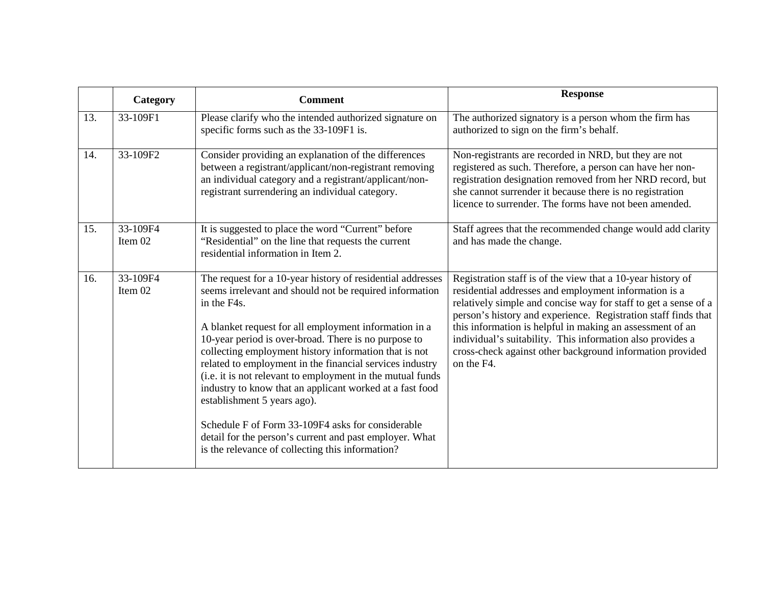|     | Category            | <b>Comment</b>                                                                                                                                                                                                                                                                                                                                                                                                                                                                                                                                                                                                                                                                                          | <b>Response</b>                                                                                                                                                                                                                                                                                                                                                                                                                                                 |
|-----|---------------------|---------------------------------------------------------------------------------------------------------------------------------------------------------------------------------------------------------------------------------------------------------------------------------------------------------------------------------------------------------------------------------------------------------------------------------------------------------------------------------------------------------------------------------------------------------------------------------------------------------------------------------------------------------------------------------------------------------|-----------------------------------------------------------------------------------------------------------------------------------------------------------------------------------------------------------------------------------------------------------------------------------------------------------------------------------------------------------------------------------------------------------------------------------------------------------------|
| 13. | 33-109F1            | Please clarify who the intended authorized signature on<br>specific forms such as the 33-109F1 is.                                                                                                                                                                                                                                                                                                                                                                                                                                                                                                                                                                                                      | The authorized signatory is a person whom the firm has<br>authorized to sign on the firm's behalf.                                                                                                                                                                                                                                                                                                                                                              |
| 14. | 33-109F2            | Consider providing an explanation of the differences<br>between a registrant/applicant/non-registrant removing<br>an individual category and a registrant/applicant/non-<br>registrant surrendering an individual category.                                                                                                                                                                                                                                                                                                                                                                                                                                                                             | Non-registrants are recorded in NRD, but they are not<br>registered as such. Therefore, a person can have her non-<br>registration designation removed from her NRD record, but<br>she cannot surrender it because there is no registration<br>licence to surrender. The forms have not been amended.                                                                                                                                                           |
| 15. | 33-109F4<br>Item 02 | It is suggested to place the word "Current" before<br>"Residential" on the line that requests the current<br>residential information in Item 2.                                                                                                                                                                                                                                                                                                                                                                                                                                                                                                                                                         | Staff agrees that the recommended change would add clarity<br>and has made the change.                                                                                                                                                                                                                                                                                                                                                                          |
| 16. | 33-109F4<br>Item 02 | The request for a 10-year history of residential addresses<br>seems irrelevant and should not be required information<br>in the F4s.<br>A blanket request for all employment information in a<br>10-year period is over-broad. There is no purpose to<br>collecting employment history information that is not<br>related to employment in the financial services industry<br>(i.e. it is not relevant to employment in the mutual funds<br>industry to know that an applicant worked at a fast food<br>establishment 5 years ago).<br>Schedule F of Form 33-109F4 asks for considerable<br>detail for the person's current and past employer. What<br>is the relevance of collecting this information? | Registration staff is of the view that a 10-year history of<br>residential addresses and employment information is a<br>relatively simple and concise way for staff to get a sense of a<br>person's history and experience. Registration staff finds that<br>this information is helpful in making an assessment of an<br>individual's suitability. This information also provides a<br>cross-check against other background information provided<br>on the F4. |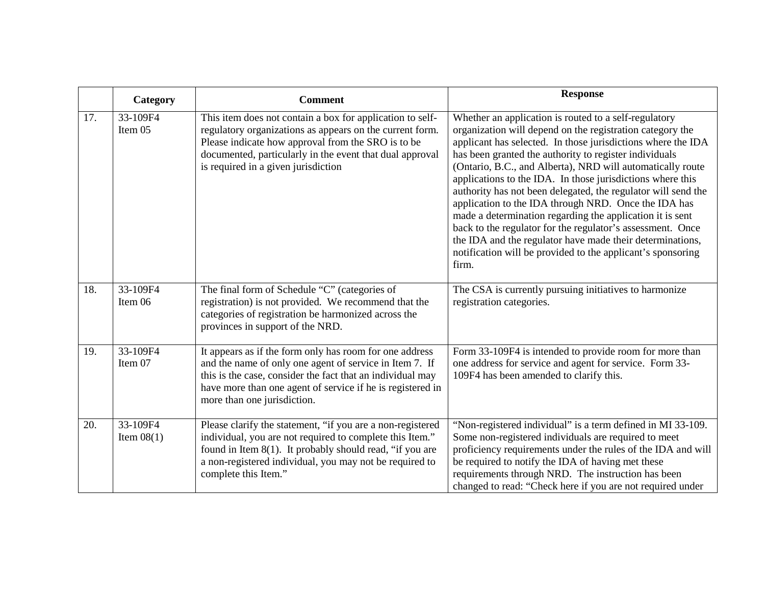|     | Category                 | <b>Comment</b>                                                                                                                                                                                                                                                                 | <b>Response</b>                                                                                                                                                                                                                                                                                                                                                                                                                                                                                                                                                                                                                                                                                                                                                   |
|-----|--------------------------|--------------------------------------------------------------------------------------------------------------------------------------------------------------------------------------------------------------------------------------------------------------------------------|-------------------------------------------------------------------------------------------------------------------------------------------------------------------------------------------------------------------------------------------------------------------------------------------------------------------------------------------------------------------------------------------------------------------------------------------------------------------------------------------------------------------------------------------------------------------------------------------------------------------------------------------------------------------------------------------------------------------------------------------------------------------|
| 17. | 33-109F4<br>Item 05      | This item does not contain a box for application to self-<br>regulatory organizations as appears on the current form.<br>Please indicate how approval from the SRO is to be<br>documented, particularly in the event that dual approval<br>is required in a given jurisdiction | Whether an application is routed to a self-regulatory<br>organization will depend on the registration category the<br>applicant has selected. In those jurisdictions where the IDA<br>has been granted the authority to register individuals<br>(Ontario, B.C., and Alberta), NRD will automatically route<br>applications to the IDA. In those jurisdictions where this<br>authority has not been delegated, the regulator will send the<br>application to the IDA through NRD. Once the IDA has<br>made a determination regarding the application it is sent<br>back to the regulator for the regulator's assessment. Once<br>the IDA and the regulator have made their determinations,<br>notification will be provided to the applicant's sponsoring<br>firm. |
| 18. | 33-109F4<br>Item 06      | The final form of Schedule "C" (categories of<br>registration) is not provided. We recommend that the<br>categories of registration be harmonized across the<br>provinces in support of the NRD.                                                                               | The CSA is currently pursuing initiatives to harmonize<br>registration categories.                                                                                                                                                                                                                                                                                                                                                                                                                                                                                                                                                                                                                                                                                |
| 19. | 33-109F4<br>Item 07      | It appears as if the form only has room for one address<br>and the name of only one agent of service in Item 7. If<br>this is the case, consider the fact that an individual may<br>have more than one agent of service if he is registered in<br>more than one jurisdiction.  | Form 33-109F4 is intended to provide room for more than<br>one address for service and agent for service. Form 33-<br>109F4 has been amended to clarify this.                                                                                                                                                                                                                                                                                                                                                                                                                                                                                                                                                                                                     |
| 20. | 33-109F4<br>Item $08(1)$ | Please clarify the statement, "if you are a non-registered<br>individual, you are not required to complete this Item."<br>found in Item $8(1)$ . It probably should read, "if you are<br>a non-registered individual, you may not be required to<br>complete this Item."       | "Non-registered individual" is a term defined in MI 33-109.<br>Some non-registered individuals are required to meet<br>proficiency requirements under the rules of the IDA and will<br>be required to notify the IDA of having met these<br>requirements through NRD. The instruction has been<br>changed to read: "Check here if you are not required under                                                                                                                                                                                                                                                                                                                                                                                                      |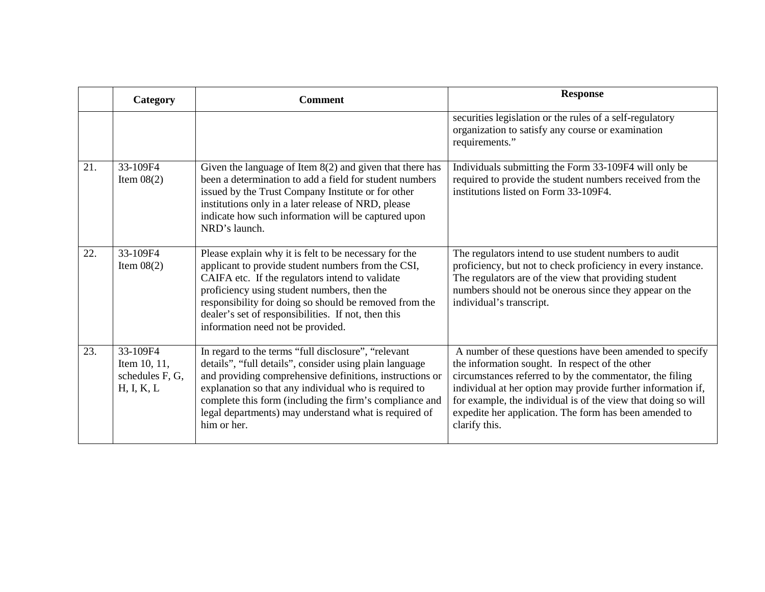|     | Category                                                  | <b>Comment</b>                                                                                                                                                                                                                                                                                                                                                         | <b>Response</b>                                                                                                                                                                                                                                                                                                                                                                     |
|-----|-----------------------------------------------------------|------------------------------------------------------------------------------------------------------------------------------------------------------------------------------------------------------------------------------------------------------------------------------------------------------------------------------------------------------------------------|-------------------------------------------------------------------------------------------------------------------------------------------------------------------------------------------------------------------------------------------------------------------------------------------------------------------------------------------------------------------------------------|
|     |                                                           |                                                                                                                                                                                                                                                                                                                                                                        | securities legislation or the rules of a self-regulatory<br>organization to satisfy any course or examination<br>requirements."                                                                                                                                                                                                                                                     |
| 21. | 33-109F4<br>Item $08(2)$                                  | Given the language of Item $8(2)$ and given that there has<br>been a determination to add a field for student numbers<br>issued by the Trust Company Institute or for other<br>institutions only in a later release of NRD, please<br>indicate how such information will be captured upon<br>NRD's launch.                                                             | Individuals submitting the Form 33-109F4 will only be<br>required to provide the student numbers received from the<br>institutions listed on Form 33-109F4.                                                                                                                                                                                                                         |
| 22. | 33-109F4<br>Item $08(2)$                                  | Please explain why it is felt to be necessary for the<br>applicant to provide student numbers from the CSI,<br>CAIFA etc. If the regulators intend to validate<br>proficiency using student numbers, then the<br>responsibility for doing so should be removed from the<br>dealer's set of responsibilities. If not, then this<br>information need not be provided.    | The regulators intend to use student numbers to audit<br>proficiency, but not to check proficiency in every instance.<br>The regulators are of the view that providing student<br>numbers should not be onerous since they appear on the<br>individual's transcript.                                                                                                                |
| 23. | 33-109F4<br>Item 10, 11,<br>schedules F, G,<br>H, I, K, L | In regard to the terms "full disclosure", "relevant<br>details", "full details", consider using plain language<br>and providing comprehensive definitions, instructions or<br>explanation so that any individual who is required to<br>complete this form (including the firm's compliance and<br>legal departments) may understand what is required of<br>him or her. | A number of these questions have been amended to specify<br>the information sought. In respect of the other<br>circumstances referred to by the commentator, the filing<br>individual at her option may provide further information if,<br>for example, the individual is of the view that doing so will<br>expedite her application. The form has been amended to<br>clarify this. |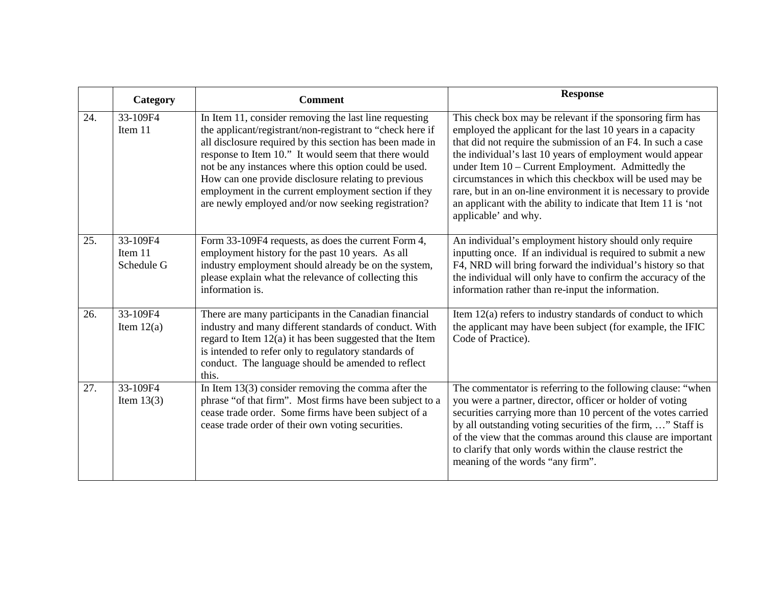|     | Category                          | <b>Comment</b>                                                                                                                                                                                                                                                                                                                                                                                                                                                         | <b>Response</b>                                                                                                                                                                                                                                                                                                                                                                                                                                                                                                                    |
|-----|-----------------------------------|------------------------------------------------------------------------------------------------------------------------------------------------------------------------------------------------------------------------------------------------------------------------------------------------------------------------------------------------------------------------------------------------------------------------------------------------------------------------|------------------------------------------------------------------------------------------------------------------------------------------------------------------------------------------------------------------------------------------------------------------------------------------------------------------------------------------------------------------------------------------------------------------------------------------------------------------------------------------------------------------------------------|
| 24. | 33-109F4<br>Item 11               | In Item 11, consider removing the last line requesting<br>the applicant/registrant/non-registrant to "check here if<br>all disclosure required by this section has been made in<br>response to Item 10." It would seem that there would<br>not be any instances where this option could be used.<br>How can one provide disclosure relating to previous<br>employment in the current employment section if they<br>are newly employed and/or now seeking registration? | This check box may be relevant if the sponsoring firm has<br>employed the applicant for the last 10 years in a capacity<br>that did not require the submission of an F4. In such a case<br>the individual's last 10 years of employment would appear<br>under Item 10 - Current Employment. Admittedly the<br>circumstances in which this checkbox will be used may be<br>rare, but in an on-line environment it is necessary to provide<br>an applicant with the ability to indicate that Item 11 is 'not<br>applicable' and why. |
| 25. | 33-109F4<br>Item 11<br>Schedule G | Form 33-109F4 requests, as does the current Form 4,<br>employment history for the past 10 years. As all<br>industry employment should already be on the system,<br>please explain what the relevance of collecting this<br>information is.                                                                                                                                                                                                                             | An individual's employment history should only require<br>inputting once. If an individual is required to submit a new<br>F4, NRD will bring forward the individual's history so that<br>the individual will only have to confirm the accuracy of the<br>information rather than re-input the information.                                                                                                                                                                                                                         |
| 26. | 33-109F4<br>Item $12(a)$          | There are many participants in the Canadian financial<br>industry and many different standards of conduct. With<br>regard to Item 12(a) it has been suggested that the Item<br>is intended to refer only to regulatory standards of<br>conduct. The language should be amended to reflect<br>this.                                                                                                                                                                     | Item 12(a) refers to industry standards of conduct to which<br>the applicant may have been subject (for example, the IFIC<br>Code of Practice).                                                                                                                                                                                                                                                                                                                                                                                    |
| 27. | 33-109F4<br>Item $13(3)$          | In Item $13(3)$ consider removing the comma after the<br>phrase "of that firm". Most firms have been subject to a<br>cease trade order. Some firms have been subject of a<br>cease trade order of their own voting securities.                                                                                                                                                                                                                                         | The commentator is referring to the following clause: "when<br>you were a partner, director, officer or holder of voting<br>securities carrying more than 10 percent of the votes carried<br>by all outstanding voting securities of the firm, " Staff is<br>of the view that the commas around this clause are important<br>to clarify that only words within the clause restrict the<br>meaning of the words "any firm".                                                                                                         |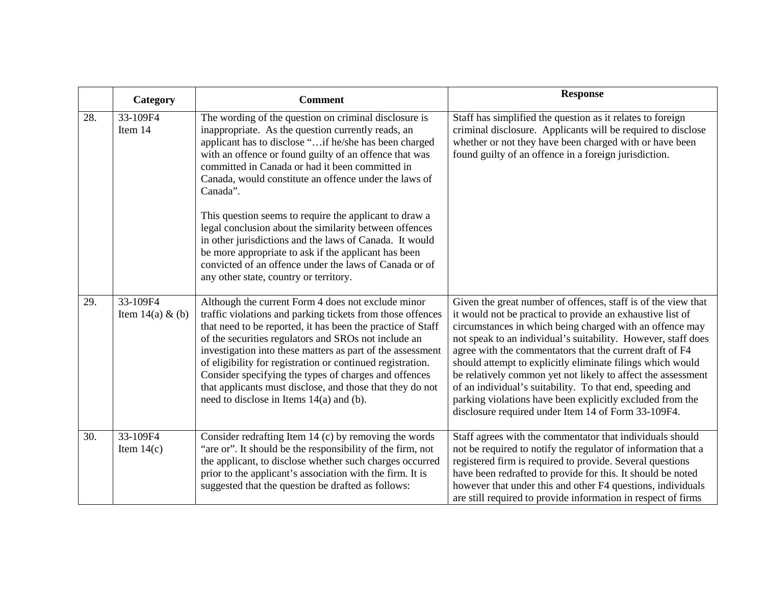|     | Category                        | <b>Comment</b>                                                                                                                                                                                                                                                                                                                                                                                                                                                                                                                                                                                                                                                                                    | <b>Response</b>                                                                                                                                                                                                                                                                                                                                                                                                                                                                                                                                                                                                                     |
|-----|---------------------------------|---------------------------------------------------------------------------------------------------------------------------------------------------------------------------------------------------------------------------------------------------------------------------------------------------------------------------------------------------------------------------------------------------------------------------------------------------------------------------------------------------------------------------------------------------------------------------------------------------------------------------------------------------------------------------------------------------|-------------------------------------------------------------------------------------------------------------------------------------------------------------------------------------------------------------------------------------------------------------------------------------------------------------------------------------------------------------------------------------------------------------------------------------------------------------------------------------------------------------------------------------------------------------------------------------------------------------------------------------|
| 28. | 33-109F4<br>Item 14             | The wording of the question on criminal disclosure is<br>inappropriate. As the question currently reads, an<br>applicant has to disclose "if he/she has been charged<br>with an offence or found guilty of an offence that was<br>committed in Canada or had it been committed in<br>Canada, would constitute an offence under the laws of<br>Canada".<br>This question seems to require the applicant to draw a<br>legal conclusion about the similarity between offences<br>in other jurisdictions and the laws of Canada. It would<br>be more appropriate to ask if the applicant has been<br>convicted of an offence under the laws of Canada or of<br>any other state, country or territory. | Staff has simplified the question as it relates to foreign<br>criminal disclosure. Applicants will be required to disclose<br>whether or not they have been charged with or have been<br>found guilty of an offence in a foreign jurisdiction.                                                                                                                                                                                                                                                                                                                                                                                      |
| 29. | 33-109F4<br>Item $14(a) \& (b)$ | Although the current Form 4 does not exclude minor<br>traffic violations and parking tickets from those offences<br>that need to be reported, it has been the practice of Staff<br>of the securities regulators and SROs not include an<br>investigation into these matters as part of the assessment<br>of eligibility for registration or continued registration.<br>Consider specifying the types of charges and offences<br>that applicants must disclose, and those that they do not<br>need to disclose in Items $14(a)$ and (b).                                                                                                                                                           | Given the great number of offences, staff is of the view that<br>it would not be practical to provide an exhaustive list of<br>circumstances in which being charged with an offence may<br>not speak to an individual's suitability. However, staff does<br>agree with the commentators that the current draft of F4<br>should attempt to explicitly eliminate filings which would<br>be relatively common yet not likely to affect the assessment<br>of an individual's suitability. To that end, speeding and<br>parking violations have been explicitly excluded from the<br>disclosure required under Item 14 of Form 33-109F4. |
| 30. | 33-109F4<br>Item $14(c)$        | Consider redrafting Item 14 (c) by removing the words<br>"are or". It should be the responsibility of the firm, not<br>the applicant, to disclose whether such charges occurred<br>prior to the applicant's association with the firm. It is<br>suggested that the question be drafted as follows:                                                                                                                                                                                                                                                                                                                                                                                                | Staff agrees with the commentator that individuals should<br>not be required to notify the regulator of information that a<br>registered firm is required to provide. Several questions<br>have been redrafted to provide for this. It should be noted<br>however that under this and other F4 questions, individuals<br>are still required to provide information in respect of firms                                                                                                                                                                                                                                              |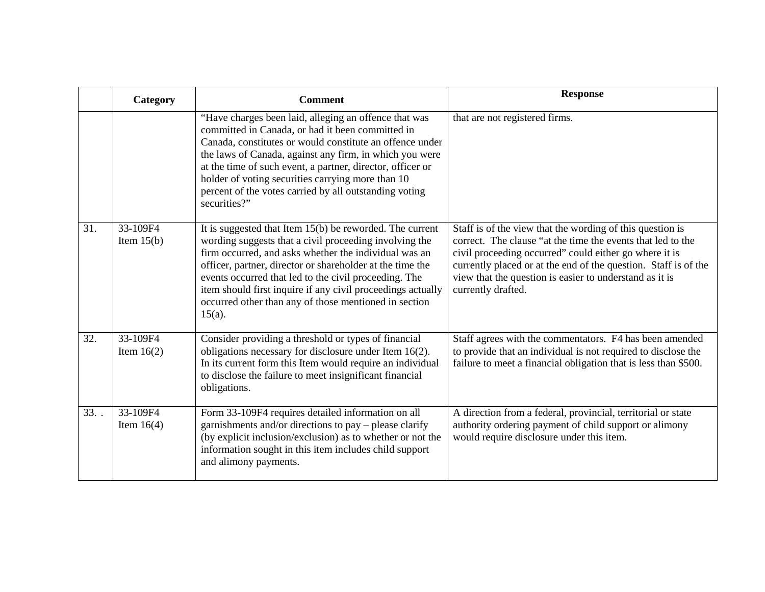|     | Category                 | <b>Comment</b>                                                                                                                                                                                                                                                                                                                                                                                                                           | <b>Response</b>                                                                                                                                                                                                                                                                                                                        |
|-----|--------------------------|------------------------------------------------------------------------------------------------------------------------------------------------------------------------------------------------------------------------------------------------------------------------------------------------------------------------------------------------------------------------------------------------------------------------------------------|----------------------------------------------------------------------------------------------------------------------------------------------------------------------------------------------------------------------------------------------------------------------------------------------------------------------------------------|
|     |                          | "Have charges been laid, alleging an offence that was<br>committed in Canada, or had it been committed in<br>Canada, constitutes or would constitute an offence under<br>the laws of Canada, against any firm, in which you were<br>at the time of such event, a partner, director, officer or<br>holder of voting securities carrying more than 10<br>percent of the votes carried by all outstanding voting<br>securities?"            | that are not registered firms.                                                                                                                                                                                                                                                                                                         |
| 31. | 33-109F4<br>Item $15(b)$ | It is suggested that Item $15(b)$ be reworded. The current<br>wording suggests that a civil proceeding involving the<br>firm occurred, and asks whether the individual was an<br>officer, partner, director or shareholder at the time the<br>events occurred that led to the civil proceeding. The<br>item should first inquire if any civil proceedings actually<br>occurred other than any of those mentioned in section<br>$15(a)$ . | Staff is of the view that the wording of this question is<br>correct. The clause "at the time the events that led to the<br>civil proceeding occurred" could either go where it is<br>currently placed or at the end of the question. Staff is of the<br>view that the question is easier to understand as it is<br>currently drafted. |
| 32. | 33-109F4<br>Item $16(2)$ | Consider providing a threshold or types of financial<br>obligations necessary for disclosure under Item 16(2).<br>In its current form this Item would require an individual<br>to disclose the failure to meet insignificant financial<br>obligations.                                                                                                                                                                                   | Staff agrees with the commentators. F4 has been amended<br>to provide that an individual is not required to disclose the<br>failure to meet a financial obligation that is less than \$500.                                                                                                                                            |
| 33. | 33-109F4<br>Item $16(4)$ | Form 33-109F4 requires detailed information on all<br>garnishments and/or directions to pay – please clarify<br>(by explicit inclusion/exclusion) as to whether or not the<br>information sought in this item includes child support<br>and alimony payments.                                                                                                                                                                            | A direction from a federal, provincial, territorial or state<br>authority ordering payment of child support or alimony<br>would require disclosure under this item.                                                                                                                                                                    |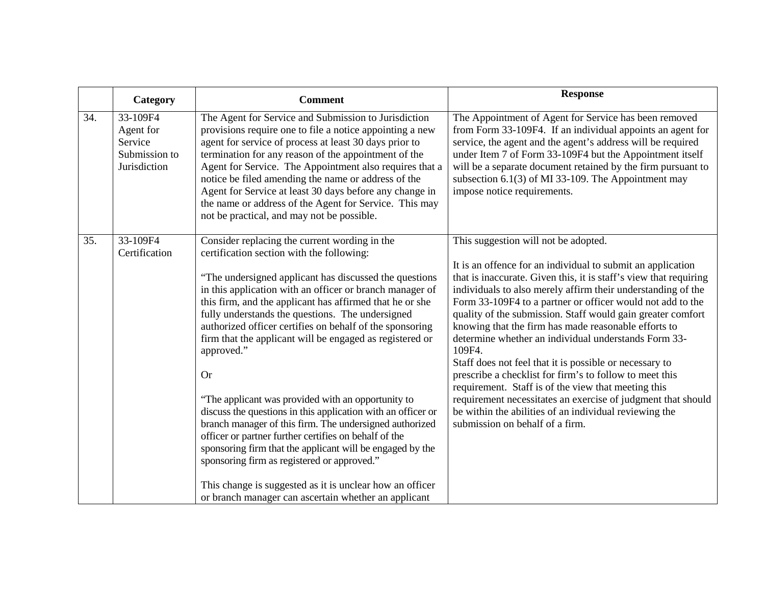|     | Category                                                          | <b>Comment</b>                                                                                                                                                                                                                                                                                                                                                                                                                                                                                                                                                                                                                                                                                                                                                                                                                                                                                                                                                | <b>Response</b>                                                                                                                                                                                                                                                                                                                                                                                                                                                                                                                                                                                                                                                                                                                                                                                                                           |
|-----|-------------------------------------------------------------------|---------------------------------------------------------------------------------------------------------------------------------------------------------------------------------------------------------------------------------------------------------------------------------------------------------------------------------------------------------------------------------------------------------------------------------------------------------------------------------------------------------------------------------------------------------------------------------------------------------------------------------------------------------------------------------------------------------------------------------------------------------------------------------------------------------------------------------------------------------------------------------------------------------------------------------------------------------------|-------------------------------------------------------------------------------------------------------------------------------------------------------------------------------------------------------------------------------------------------------------------------------------------------------------------------------------------------------------------------------------------------------------------------------------------------------------------------------------------------------------------------------------------------------------------------------------------------------------------------------------------------------------------------------------------------------------------------------------------------------------------------------------------------------------------------------------------|
| 34. | 33-109F4<br>Agent for<br>Service<br>Submission to<br>Jurisdiction | The Agent for Service and Submission to Jurisdiction<br>provisions require one to file a notice appointing a new<br>agent for service of process at least 30 days prior to<br>termination for any reason of the appointment of the<br>Agent for Service. The Appointment also requires that a<br>notice be filed amending the name or address of the<br>Agent for Service at least 30 days before any change in<br>the name or address of the Agent for Service. This may<br>not be practical, and may not be possible.                                                                                                                                                                                                                                                                                                                                                                                                                                       | The Appointment of Agent for Service has been removed<br>from Form 33-109F4. If an individual appoints an agent for<br>service, the agent and the agent's address will be required<br>under Item 7 of Form 33-109F4 but the Appointment itself<br>will be a separate document retained by the firm pursuant to<br>subsection $6.1(3)$ of MI 33-109. The Appointment may<br>impose notice requirements.                                                                                                                                                                                                                                                                                                                                                                                                                                    |
| 35. | 33-109F4<br>Certification                                         | Consider replacing the current wording in the<br>certification section with the following:<br>"The undersigned applicant has discussed the questions<br>in this application with an officer or branch manager of<br>this firm, and the applicant has affirmed that he or she<br>fully understands the questions. The undersigned<br>authorized officer certifies on behalf of the sponsoring<br>firm that the applicant will be engaged as registered or<br>approved."<br><b>Or</b><br>"The applicant was provided with an opportunity to<br>discuss the questions in this application with an officer or<br>branch manager of this firm. The undersigned authorized<br>officer or partner further certifies on behalf of the<br>sponsoring firm that the applicant will be engaged by the<br>sponsoring firm as registered or approved."<br>This change is suggested as it is unclear how an officer<br>or branch manager can ascertain whether an applicant | This suggestion will not be adopted.<br>It is an offence for an individual to submit an application<br>that is inaccurate. Given this, it is staff's view that requiring<br>individuals to also merely affirm their understanding of the<br>Form 33-109F4 to a partner or officer would not add to the<br>quality of the submission. Staff would gain greater comfort<br>knowing that the firm has made reasonable efforts to<br>determine whether an individual understands Form 33-<br>109F4.<br>Staff does not feel that it is possible or necessary to<br>prescribe a checklist for firm's to follow to meet this<br>requirement. Staff is of the view that meeting this<br>requirement necessitates an exercise of judgment that should<br>be within the abilities of an individual reviewing the<br>submission on behalf of a firm. |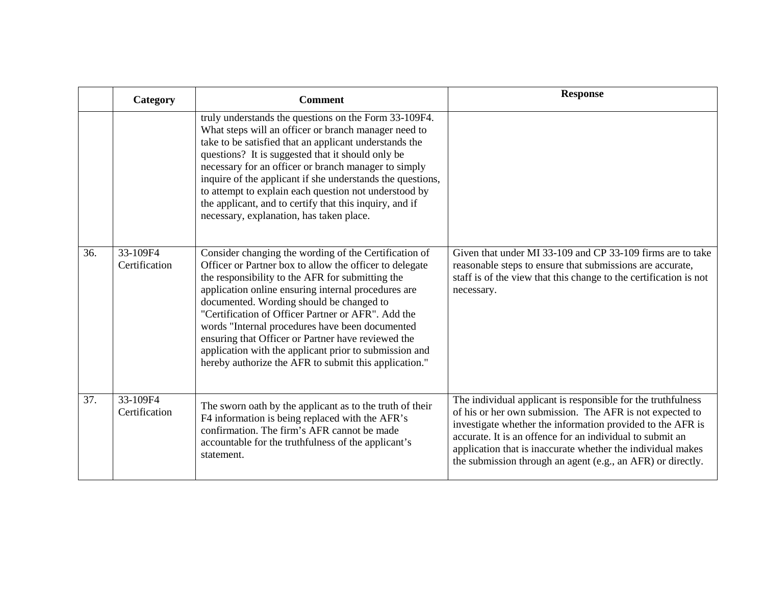|     | Category                  | <b>Comment</b>                                                                                                                                                                                                                                                                                                                                                                                                                                                                                                                                            | <b>Response</b>                                                                                                                                                                                                                                                                                                                                                                   |
|-----|---------------------------|-----------------------------------------------------------------------------------------------------------------------------------------------------------------------------------------------------------------------------------------------------------------------------------------------------------------------------------------------------------------------------------------------------------------------------------------------------------------------------------------------------------------------------------------------------------|-----------------------------------------------------------------------------------------------------------------------------------------------------------------------------------------------------------------------------------------------------------------------------------------------------------------------------------------------------------------------------------|
|     |                           | truly understands the questions on the Form 33-109F4.<br>What steps will an officer or branch manager need to<br>take to be satisfied that an applicant understands the<br>questions? It is suggested that it should only be<br>necessary for an officer or branch manager to simply<br>inquire of the applicant if she understands the questions,<br>to attempt to explain each question not understood by<br>the applicant, and to certify that this inquiry, and if<br>necessary, explanation, has taken place.                                        |                                                                                                                                                                                                                                                                                                                                                                                   |
| 36. | 33-109F4<br>Certification | Consider changing the wording of the Certification of<br>Officer or Partner box to allow the officer to delegate<br>the responsibility to the AFR for submitting the<br>application online ensuring internal procedures are<br>documented. Wording should be changed to<br>"Certification of Officer Partner or AFR". Add the<br>words "Internal procedures have been documented<br>ensuring that Officer or Partner have reviewed the<br>application with the applicant prior to submission and<br>hereby authorize the AFR to submit this application." | Given that under MI 33-109 and CP 33-109 firms are to take<br>reasonable steps to ensure that submissions are accurate,<br>staff is of the view that this change to the certification is not<br>necessary.                                                                                                                                                                        |
| 37. | 33-109F4<br>Certification | The sworn oath by the applicant as to the truth of their<br>F4 information is being replaced with the AFR's<br>confirmation. The firm's AFR cannot be made<br>accountable for the truthfulness of the applicant's<br>statement.                                                                                                                                                                                                                                                                                                                           | The individual applicant is responsible for the truthfulness<br>of his or her own submission. The AFR is not expected to<br>investigate whether the information provided to the AFR is<br>accurate. It is an offence for an individual to submit an<br>application that is inaccurate whether the individual makes<br>the submission through an agent (e.g., an AFR) or directly. |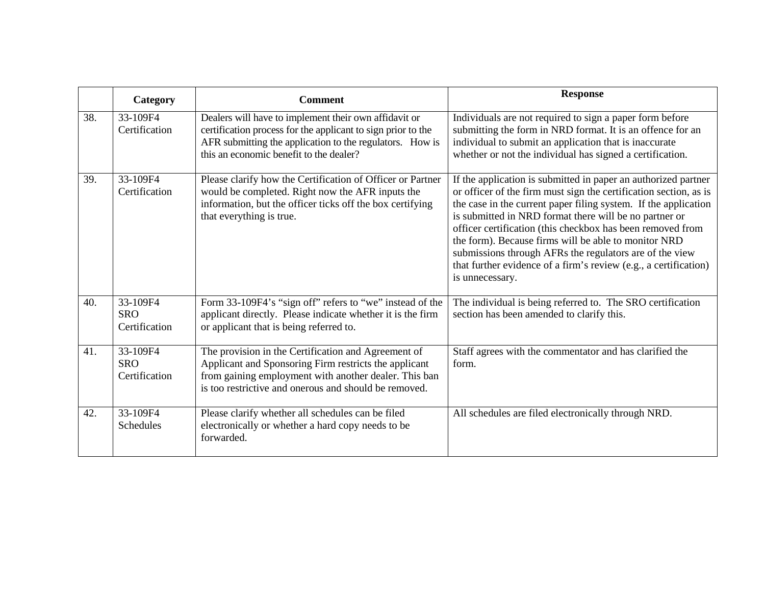|     | Category                                | <b>Comment</b>                                                                                                                                                                                                                 | <b>Response</b>                                                                                                                                                                                                                                                                                                                                                                                                                                                                                                                          |
|-----|-----------------------------------------|--------------------------------------------------------------------------------------------------------------------------------------------------------------------------------------------------------------------------------|------------------------------------------------------------------------------------------------------------------------------------------------------------------------------------------------------------------------------------------------------------------------------------------------------------------------------------------------------------------------------------------------------------------------------------------------------------------------------------------------------------------------------------------|
| 38. | 33-109F4<br>Certification               | Dealers will have to implement their own affidavit or<br>certification process for the applicant to sign prior to the<br>AFR submitting the application to the regulators. How is<br>this an economic benefit to the dealer?   | Individuals are not required to sign a paper form before<br>submitting the form in NRD format. It is an offence for an<br>individual to submit an application that is inaccurate<br>whether or not the individual has signed a certification.                                                                                                                                                                                                                                                                                            |
| 39. | 33-109F4<br>Certification               | Please clarify how the Certification of Officer or Partner<br>would be completed. Right now the AFR inputs the<br>information, but the officer ticks off the box certifying<br>that everything is true.                        | If the application is submitted in paper an authorized partner<br>or officer of the firm must sign the certification section, as is<br>the case in the current paper filing system. If the application<br>is submitted in NRD format there will be no partner or<br>officer certification (this checkbox has been removed from<br>the form). Because firms will be able to monitor NRD<br>submissions through AFRs the regulators are of the view<br>that further evidence of a firm's review (e.g., a certification)<br>is unnecessary. |
| 40. | 33-109F4<br><b>SRO</b><br>Certification | Form 33-109F4's "sign off" refers to "we" instead of the<br>applicant directly. Please indicate whether it is the firm<br>or applicant that is being referred to.                                                              | The individual is being referred to. The SRO certification<br>section has been amended to clarify this.                                                                                                                                                                                                                                                                                                                                                                                                                                  |
| 41. | 33-109F4<br><b>SRO</b><br>Certification | The provision in the Certification and Agreement of<br>Applicant and Sponsoring Firm restricts the applicant<br>from gaining employment with another dealer. This ban<br>is too restrictive and onerous and should be removed. | Staff agrees with the commentator and has clarified the<br>form.                                                                                                                                                                                                                                                                                                                                                                                                                                                                         |
| 42. | 33-109F4<br>Schedules                   | Please clarify whether all schedules can be filed<br>electronically or whether a hard copy needs to be<br>forwarded.                                                                                                           | All schedules are filed electronically through NRD.                                                                                                                                                                                                                                                                                                                                                                                                                                                                                      |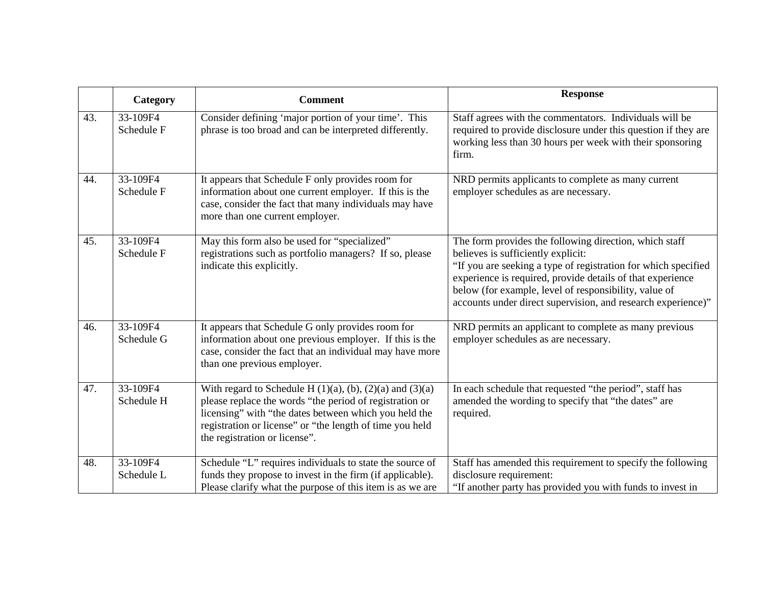|     | Category               | <b>Comment</b>                                                                                                                                                                                                                                                                      | <b>Response</b>                                                                                                                                                                                                                                                                                                                                       |
|-----|------------------------|-------------------------------------------------------------------------------------------------------------------------------------------------------------------------------------------------------------------------------------------------------------------------------------|-------------------------------------------------------------------------------------------------------------------------------------------------------------------------------------------------------------------------------------------------------------------------------------------------------------------------------------------------------|
| 43. | 33-109F4<br>Schedule F | Consider defining 'major portion of your time'. This<br>phrase is too broad and can be interpreted differently.                                                                                                                                                                     | Staff agrees with the commentators. Individuals will be<br>required to provide disclosure under this question if they are<br>working less than 30 hours per week with their sponsoring<br>firm.                                                                                                                                                       |
| 44. | 33-109F4<br>Schedule F | It appears that Schedule F only provides room for<br>information about one current employer. If this is the<br>case, consider the fact that many individuals may have<br>more than one current employer.                                                                            | NRD permits applicants to complete as many current<br>employer schedules as are necessary.                                                                                                                                                                                                                                                            |
| 45. | 33-109F4<br>Schedule F | May this form also be used for "specialized"<br>registrations such as portfolio managers? If so, please<br>indicate this explicitly.                                                                                                                                                | The form provides the following direction, which staff<br>believes is sufficiently explicit:<br>"If you are seeking a type of registration for which specified<br>experience is required, provide details of that experience<br>below (for example, level of responsibility, value of<br>accounts under direct supervision, and research experience)" |
| 46. | 33-109F4<br>Schedule G | It appears that Schedule G only provides room for<br>information about one previous employer. If this is the<br>case, consider the fact that an individual may have more<br>than one previous employer.                                                                             | NRD permits an applicant to complete as many previous<br>employer schedules as are necessary.                                                                                                                                                                                                                                                         |
| 47. | 33-109F4<br>Schedule H | With regard to Schedule H $(1)(a)$ , $(b)$ , $(2)(a)$ and $(3)(a)$<br>please replace the words "the period of registration or<br>licensing" with "the dates between which you held the<br>registration or license" or "the length of time you held<br>the registration or license". | In each schedule that requested "the period", staff has<br>amended the wording to specify that "the dates" are<br>required.                                                                                                                                                                                                                           |
| 48. | 33-109F4<br>Schedule L | Schedule "L" requires individuals to state the source of<br>funds they propose to invest in the firm (if applicable).<br>Please clarify what the purpose of this item is as we are                                                                                                  | Staff has amended this requirement to specify the following<br>disclosure requirement:<br>"If another party has provided you with funds to invest in                                                                                                                                                                                                  |